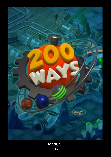

# **MANUAL** v. 1.0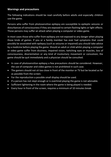## **Warnings and precautions**

The following indications should be read carefully before adults and especially children use the game.

Persons who suffer from photosensitive epilepsy are susceptible to epileptic seizures or disturbances of consciousness if they are exposed to certain flashing lights or light effects. Those persons may suffer an attack when playing a computer or video game.

In most cases those who suffer from epilepsy are not exposed to any danger when playing those kinds of games. If you or a family member has ever had symptoms that could possibly be associated with epilepsy (such as seizures or impaired) you should take advice by a medicine before playing the game. Should an adult or child whilst playing a computer or video game suffer from dizziness, impaired vision, twitching eyes or muscles, loss of consciousness, disorientation or any kind of involuntary movement or convulsion, the game should be quit immediately and a physician should be consulted.

- In case of photosensitive epilepsy a few precautions should be considered. However, the use of computer and video games is not prohibited in such case.
- The gamers should not sit too close in front of the monitor or TV but be located as far as possible from the screen.
- For the reproduction a possible small display should be used.
- If a person has not slept enough or is overtired playing the game is not advisable.
- Sufficient lightening in the room where the game is being played is needed.
- Every hour in front of the screen, requires a minimum of 10 minutes break.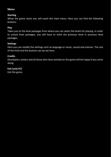## **Menu**

#### **Starting**

When the game starts you will reach the main menu. Here you can find the following buttons:

#### **Play**

Takes you to the level packages from where you can select the levels for playing. In order to unlock level packages, you will have to solve the previous level in previous level packages.

#### **Settings**

Here you can modify the settings such as language or music, sound and volume. The size of the HUD and the buttons can be set here.

#### **Credits**

Developers, testers and all those who have worked on this game will be happy if you come along.

## **Exit (only PC)**

Exit the game.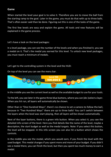#### **Game**

When started the level your goal is to solve it. Therefore you are to move the ball from the starting ramp to the goal. Later in the game, you must do that with up to three balls. That's often easier said than be done. Figuring out this is one of the tasks of the game.

The first few levels are easy and explain the game. All tools and new features will be explained in the game process.

Let's have a look on the level packages:

In a level package, you can see the number of the levels and when you finished it, you see a medal on it. That's the medal you earned for this level. To unlock new level packages, you must reach a minimum of medals.

Let's get to the controlling system in the level and the HUD:

On top of the level you can see the menu bar.



In the middle you see the current level as well es the available budget to use for your tools.

To the left, you see later in the game three blue buttons, where you can (de-)select a layer. When you hit run, all layers will automatically be shown.

Other than in "One Hundred Ways", there's no chance to set a camera to follow the ball, because in "Two Hundred Ways" there are up to three balls! You can't switch between the layers when the level was start playing, then all layers will be shown automatically.

Next of the layer buttons, there is a green info button. When you select it, you see the detailed info screen of the level. Here you find details like the name of the level, maybe a description, the start budget as well as the medal targets. Note: If you select this button, the level will be stopped. In this info screen you can also hit a button which shows the controls.

In the middle you see the medal, which you would earn, if you finish the level with the used budget. This medal changes if you spent more and more of your budget. If you didn't see a medal there, you can finish the level, but then you spent too much money to earn a medal.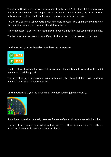The next button is a red button for play and stop the level. Note: If a ball falls out of your platforms, the level will be stopped automatically. If a ball is broken, the level still runs until you stop it. If the level is still running, you can't place any tools in it.

Next of this button a yellow button with nine dots appears. This opens the inventory on the right side, where you can select the different tools.

The next button is a button to reset the level. If you hit this, all placed tools will be deleted.

The last button is the menu button. If you hit this button, you will come to the menu.

On the top left you see, based on your level two info panels.



The first show, how much of your balls must reach the goals and how much of them did already reached the goals!

The second show, how many keys your balls must collect to unlock the barrier and how many of them, were already collected.

On the bottom left, you see a speedo of how fast you ball(s) roll currently.



If you have more than one ball, there are for each of your balls one speedo in his color.

The size of the complete controlling system and the HUD can be changed in the settings. It can be adjusted to fit on your screen resolution.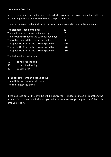#### **Here are a few tips:**

In the game you can find a few tools which accelerate or slow down the ball. For accelerating there is one tool which you can place yourself.

Therefore you can find objects which you can only surround if your ball is fast enough.

| The standard-speed of the ball is:            | 20    |
|-----------------------------------------------|-------|
| The mud reduced the current speed by:         | -7    |
| The broken tile reduced the current speed by: | -5    |
| The water reduced the current speed by:       | $-3$  |
| The speed Up 1 raises the current speed by:   | $+10$ |
| The speed Up 2 raises the current speed by:   | $+20$ |
| The speed Up 3 raises the current speed by:   | $+30$ |

The ball must be faster than:

- 50 to rollover the grill
- 80 to pass the looping
- 20 to pass a fan

If the ball is faster than a speed of 40:

- he will thrown out of a rail curve
- he can't enter the crane!

If the ball falls out of the level he will be destroyed. If it doesn't move or is broken, the level don't stops automatically and you will not have to change the position of the tools until you stop it.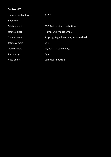# **Controls PC**

| Enable / disable layers | 1, 2, 3                               |
|-------------------------|---------------------------------------|
| Inventory               |                                       |
| Delete object           | ESC, Del, right mouse button          |
| Rotate object           | Home, End, mouse wheel                |
| Zoom camera             | Page up, Page down, -, +, mouse wheel |
| Rotate camera           | Q, E                                  |
| Move camera             | W, A, S, $D$ + cursor keys            |
| Start / stop            | Space                                 |
| Place object            | Left mouse button                     |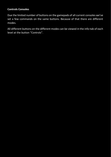# **Controls Consoles**

Due the limited number of buttons on the gamepads of all current consoles we've set a few commands on the same buttons. Because of that there are different modes.

All different buttons on the different modes can be viewed in the info-tab of each level at the button "Controls".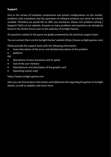# **Support**

Due to the variety of hardware components and system configurations on the market, problems with installation and the operation of software products can never be entirely avoided. Therefore we would like to offer you assistance. Please visit problem-solving / Support/ FAQ's on our website. Answers to many problems and questions can already be found in the Online Forum and on the websites of Sunlight Games.

All questions related to the game are gladly answered by the technical support team.

You can contact them via the Sunlight Games' website (https://www.sunlight-games.com)

Please provide the support team with the following information:

- Exact description of the error and detailed description of the problem
- platform

OR:

- Manufactor of your processor and its speed
- Size of the user memory
- Manufacturer and description of the graphic card
- Operating system used

#### https://www.sunlight-games.com

Here you can find product information and additional info regarding the games of Sunlight Games, as well as updates and much more.